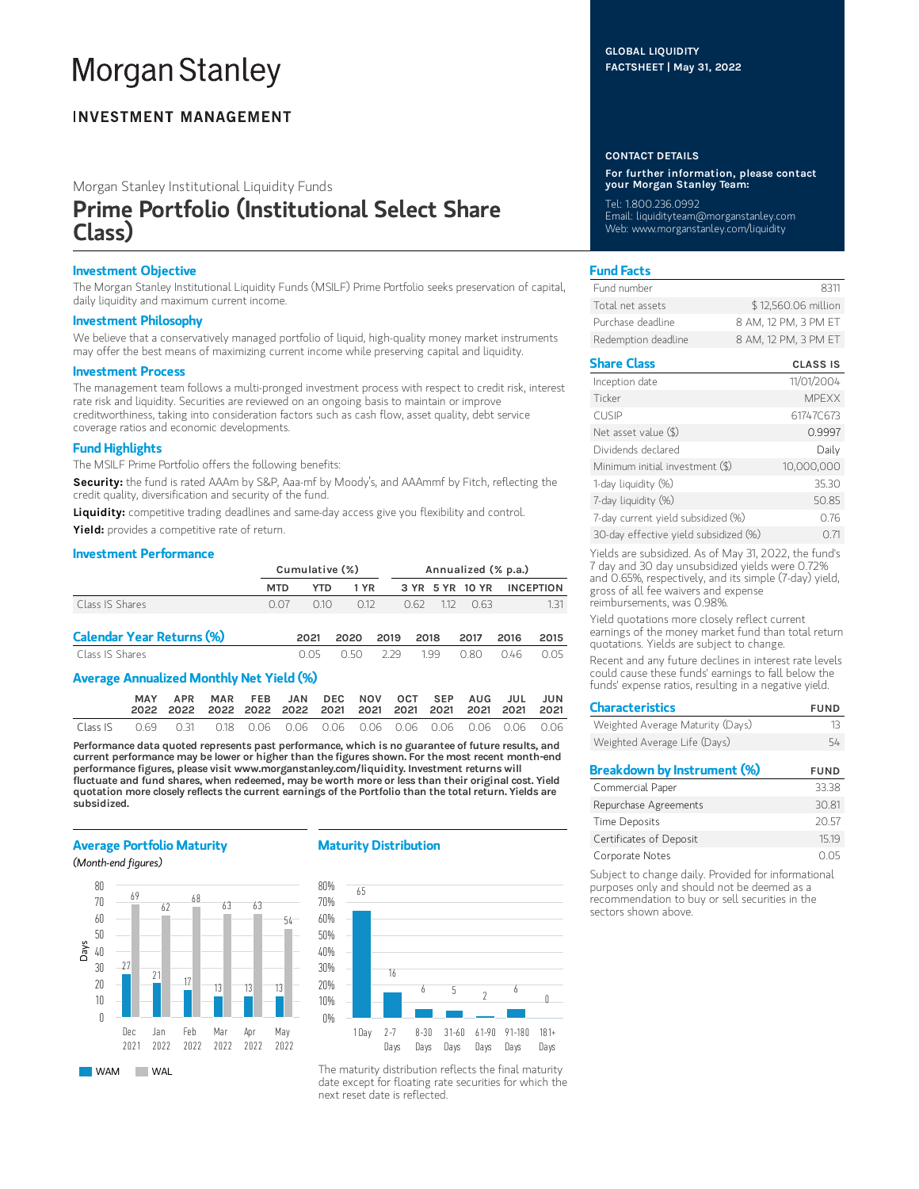# **Morgan Stanley**

# **INVESTMENT MANAGEMENT**

Morgan Stanley Institutional Liquidity Funds

# Prime Portfolio (Institutional Select Share Class)

# Investment Objective

The Morgan Stanley Institutional Liquidity Funds (MSILF) Prime Portfolio seeks preservation of capital, daily liquidity and maximum current income.

# Investment Philosophy

We believe that a conservatively managed portfolio of liquid, high-quality money market instruments may offer the best means of maximizing current income while preserving capital and liquidity.

# Investment Process

The management team follows a multi-pronged investment process with respect to credit risk, interest rate risk and liquidity. Securities are reviewed on an ongoing basis to maintain or improve creditworthiness, taking into consideration factors such as cash flow, asset quality, debt service coverage ratios and economic developments.

# Fund Highlights

The MSILF Prime Portfolio offers the following benefits:

Security: the fund is rated AAAm by S&P, Aaa-mf by Moody's, and AAAmmf by Fitch, reflecting the credit quality, diversification and security of the fund.

Liquidity: competitive trading deadlines and same-day access give you flexibility and control.

Yield: provides a competitive rate of return.

# Investment Performance

|                                  | Cumulative (%) |      |       |      | Annualized (% p.a.) |     |                 |      |                  |
|----------------------------------|----------------|------|-------|------|---------------------|-----|-----------------|------|------------------|
|                                  | <b>MTD</b>     | YTD  | 1 YR  |      |                     |     | 3 YR 5 YR 10 YR |      | <b>INCEPTION</b> |
| Class IS Shares                  | 0.07           | 010  | 0.12  |      |                     |     | 0.62 112 0.63   |      | 131              |
| <b>Calendar Year Returns (%)</b> |                | 2021 | 2020  | 2019 | 2018                |     | 2017            | 2016 | 2015             |
| Class IS Shares                  |                | O 05 | N 50. | -229 |                     | 199 | 0.80            | 046  | O 05             |

# Average Annualized Monthly Net Yield (%)

|          |                                                                        |  | MAR FEB JAN DEC NOV OCT SEP AUG JUL JUN |  |  |  |  |
|----------|------------------------------------------------------------------------|--|-----------------------------------------|--|--|--|--|
| Class IS | 0.69  0.31  0.18  0.06  0.06  0.06  0.06  0.06  0.06  0.06  0.06  0.06 |  |                                         |  |  |  |  |

Performance data quoted represents past performance, which is no guarantee of future results, and current performance may be lower or higher than the figures shown. For the most recent month-end performance figures, please visit www.morganstanley.com/liquidity. Investment returns will fluctuate and fund shares, when redeemed, may be worth more or less than their original cost. Yield quotation more closely reflects the current earnings of the Portfolio than the total return. Yields are subsidized.

# Average Portfolio Maturity

(Month-end figures)



# Maturity Distribution



The maturity distribution reflects the final maturity date except for floating rate securities for which the next reset date is reflected.

# GLOBAL LIQUIDITY FACTSHEET | May 31, 2022

#### CONTACT DETAILS

For further information, please contact your Morgan Stanley Team:

Tel: 1.800.236.0992 Email: liquidityteam@morganstanley.com Web: www.morganstanley.com/liquidity

# Fund Facts

| Fund number         | 8311                 |
|---------------------|----------------------|
| Total net assets    | \$12,560.06 million  |
| Purchase deadline   | 8 AM, 12 PM, 3 PM ET |
| Redemption deadline | 8 AM, 12 PM, 3 PM ET |

# Share Class CLASS IS

| Inception date                        | 11/01/2004   |
|---------------------------------------|--------------|
| Ticker                                | <b>MPEXX</b> |
| <b>CUSIP</b>                          | 61747C673    |
| Net asset value (\$)                  | 0.9997       |
| Dividends declared                    | Daily        |
| Minimum initial investment (\$)       | 10,000,000   |
| 1-day liquidity (%)                   | 35.30        |
| 7-day liquidity (%)                   | 50.85        |
| 7-day current yield subsidized (%)    | 0.76         |
| 30-day effective yield subsidized (%) | 071          |

Yields are subsidized. As of May 31, 2022, the fund's 7 day and 30 day unsubsidized yields were 0.72% and 0.65%, respectively, and its simple (7-day) yield, gross of all fee waivers and expense reimbursements, was 0.98%.

Yield quotations more closely reflect current earnings of the money market fund than total return quotations. Yields are subject to change.

Recent and any future declines in interest rate levels could cause these funds' earnings to fall below the funds' expense ratios, resulting in a negative yield.

| <b>Characteristics</b>             | <b>FUND</b> |
|------------------------------------|-------------|
| Weighted Average Maturity (Days)   | 13          |
| Weighted Average Life (Days)       | 54          |
| <b>Breakdown by Instrument (%)</b> | <b>FUND</b> |
| Commercial Paper                   | 33.38       |
| Repurchase Agreements              | 30.81       |
| <b>Time Deposits</b>               | 20.57       |
| Certificates of Deposit            | 15.19       |
| Corporate Notes                    | U.O5        |

Subject to change daily. Provided for informational purposes only and should not be deemed as a recommendation to buy or sell securities in the sectors shown above.